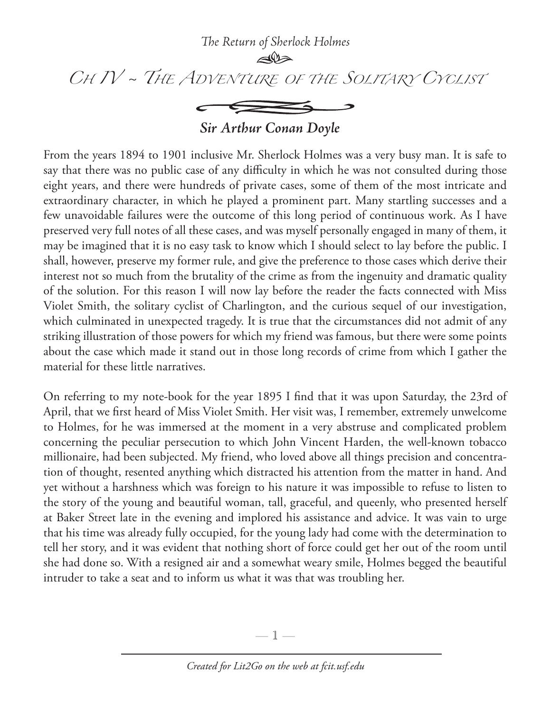

*Sir Arthur Conan Doyle*

From the years 1894 to 1901 inclusive Mr. Sherlock Holmes was a very busy man. It is safe to say that there was no public case of any difficulty in which he was not consulted during those eight years, and there were hundreds of private cases, some of them of the most intricate and extraordinary character, in which he played a prominent part. Many startling successes and a few unavoidable failures were the outcome of this long period of continuous work. As I have preserved very full notes of all these cases, and was myself personally engaged in many of them, it may be imagined that it is no easy task to know which I should select to lay before the public. I shall, however, preserve my former rule, and give the preference to those cases which derive their interest not so much from the brutality of the crime as from the ingenuity and dramatic quality of the solution. For this reason I will now lay before the reader the facts connected with Miss Violet Smith, the solitary cyclist of Charlington, and the curious sequel of our investigation, which culminated in unexpected tragedy. It is true that the circumstances did not admit of any striking illustration of those powers for which my friend was famous, but there were some points about the case which made it stand out in those long records of crime from which I gather the material for these little narratives.

On referring to my note-book for the year 1895 I find that it was upon Saturday, the 23rd of April, that we first heard of Miss Violet Smith. Her visit was, I remember, extremely unwelcome to Holmes, for he was immersed at the moment in a very abstruse and complicated problem concerning the peculiar persecution to which John Vincent Harden, the well-known tobacco millionaire, had been subjected. My friend, who loved above all things precision and concentration of thought, resented anything which distracted his attention from the matter in hand. And yet without a harshness which was foreign to his nature it was impossible to refuse to listen to the story of the young and beautiful woman, tall, graceful, and queenly, who presented herself at Baker Street late in the evening and implored his assistance and advice. It was vain to urge that his time was already fully occupied, for the young lady had come with the determination to tell her story, and it was evident that nothing short of force could get her out of the room until she had done so. With a resigned air and a somewhat weary smile, Holmes begged the beautiful intruder to take a seat and to inform us what it was that was troubling her.

—  $\mathbb{1}$  —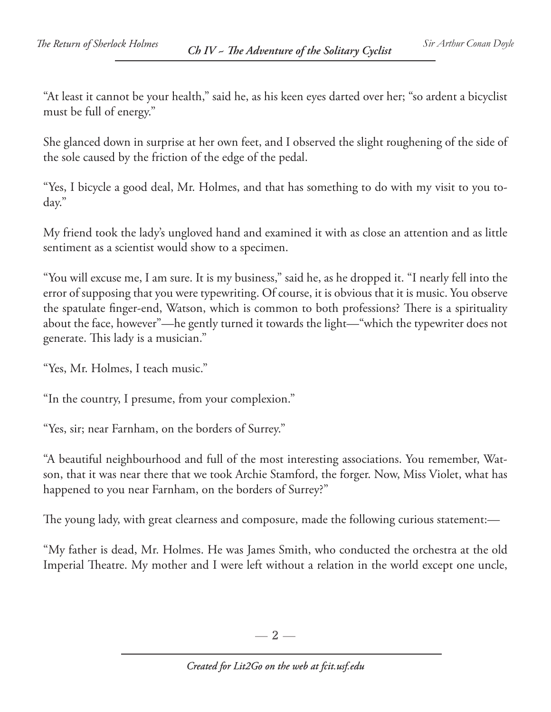"At least it cannot be your health," said he, as his keen eyes darted over her; "so ardent a bicyclist must be full of energy."

She glanced down in surprise at her own feet, and I observed the slight roughening of the side of the sole caused by the friction of the edge of the pedal.

"Yes, I bicycle a good deal, Mr. Holmes, and that has something to do with my visit to you today."

My friend took the lady's ungloved hand and examined it with as close an attention and as little sentiment as a scientist would show to a specimen.

"You will excuse me, I am sure. It is my business," said he, as he dropped it. "I nearly fell into the error of supposing that you were typewriting. Of course, it is obvious that it is music. You observe the spatulate finger-end, Watson, which is common to both professions? There is a spirituality about the face, however"—he gently turned it towards the light—"which the typewriter does not generate. This lady is a musician."

"Yes, Mr. Holmes, I teach music."

"In the country, I presume, from your complexion."

"Yes, sir; near Farnham, on the borders of Surrey."

"A beautiful neighbourhood and full of the most interesting associations. You remember, Watson, that it was near there that we took Archie Stamford, the forger. Now, Miss Violet, what has happened to you near Farnham, on the borders of Surrey?"

The young lady, with great clearness and composure, made the following curious statement:—

"My father is dead, Mr. Holmes. He was James Smith, who conducted the orchestra at the old Imperial Theatre. My mother and I were left without a relation in the world except one uncle,

 $-2-$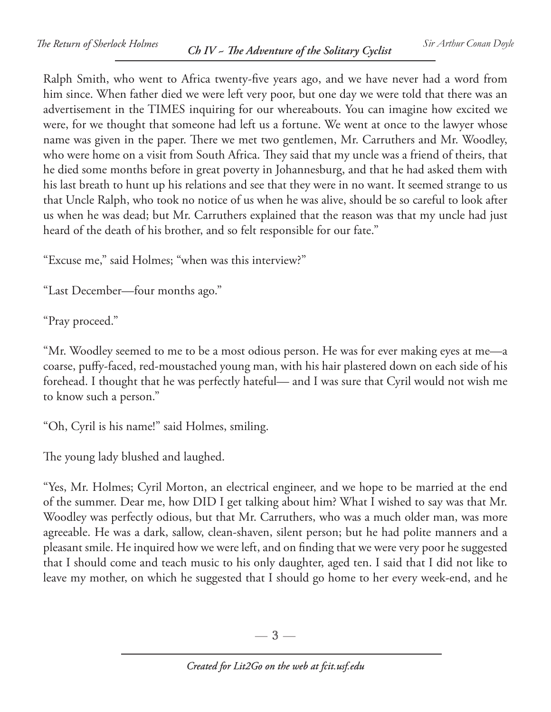Ralph Smith, who went to Africa twenty-five years ago, and we have never had a word from him since. When father died we were left very poor, but one day we were told that there was an advertisement in the TIMES inquiring for our whereabouts. You can imagine how excited we were, for we thought that someone had left us a fortune. We went at once to the lawyer whose name was given in the paper. There we met two gentlemen, Mr. Carruthers and Mr. Woodley, who were home on a visit from South Africa. They said that my uncle was a friend of theirs, that he died some months before in great poverty in Johannesburg, and that he had asked them with his last breath to hunt up his relations and see that they were in no want. It seemed strange to us that Uncle Ralph, who took no notice of us when he was alive, should be so careful to look after us when he was dead; but Mr. Carruthers explained that the reason was that my uncle had just heard of the death of his brother, and so felt responsible for our fate."

"Excuse me," said Holmes; "when was this interview?"

"Last December—four months ago."

"Pray proceed."

"Mr. Woodley seemed to me to be a most odious person. He was for ever making eyes at me—a coarse, puffy-faced, red-moustached young man, with his hair plastered down on each side of his forehead. I thought that he was perfectly hateful— and I was sure that Cyril would not wish me to know such a person."

"Oh, Cyril is his name!" said Holmes, smiling.

The young lady blushed and laughed.

"Yes, Mr. Holmes; Cyril Morton, an electrical engineer, and we hope to be married at the end of the summer. Dear me, how DID I get talking about him? What I wished to say was that Mr. Woodley was perfectly odious, but that Mr. Carruthers, who was a much older man, was more agreeable. He was a dark, sallow, clean-shaven, silent person; but he had polite manners and a pleasant smile. He inquired how we were left, and on finding that we were very poor he suggested that I should come and teach music to his only daughter, aged ten. I said that I did not like to leave my mother, on which he suggested that I should go home to her every week-end, and he

 $-3-$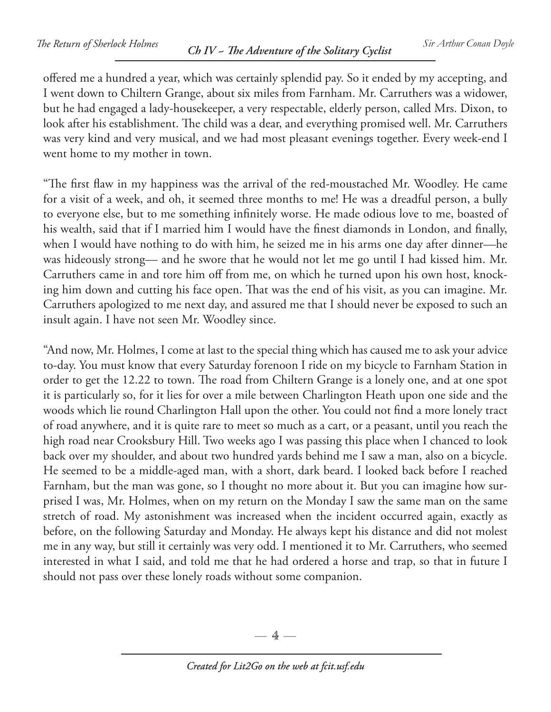offered me a hundred a year, which was certainly splendid pay. So it ended by my accepting, and I went down to Chiltern Grange, about six miles from Farnham. Mr. Carruthers was a widower, but he had engaged a lady-housekeeper, a very respectable, elderly person, called Mrs. Dixon, to look after his establishment. The child was a dear, and everything promised well. Mr. Carruthers was very kind and very musical, and we had most pleasant evenings together. Every week-end I went home to my mother in town.

"The first flaw in my happiness was the arrival of the red-moustached Mr. Woodley. He came for a visit of a week, and oh, it seemed three months to me! He was a dreadful person, a bully to everyone else, but to me something infinitely worse. He made odious love to me, boasted of his wealth, said that if I married him I would have the finest diamonds in London, and finally, when I would have nothing to do with him, he seized me in his arms one day after dinner—he was hideously strong— and he swore that he would not let me go until I had kissed him. Mr. Carruthers came in and tore him off from me, on which he turned upon his own host, knocking him down and cutting his face open. That was the end of his visit, as you can imagine. Mr. Carruthers apologized to me next day, and assured me that I should never be exposed to such an insult again. I have not seen Mr. Woodley since.

"And now, Mr. Holmes, I come at last to the special thing which has caused me to ask your advice to-day. You must know that every Saturday forenoon I ride on my bicycle to Farnham Station in order to get the 12.22 to town. The road from Chiltern Grange is a lonely one, and at one spot it is particularly so, for it lies for over a mile between Charlington Heath upon one side and the woods which lie round Charlington Hall upon the other. You could not find a more lonely tract of road anywhere, and it is quite rare to meet so much as a cart, or a peasant, until you reach the high road near Crooksbury Hill. Two weeks ago I was passing this place when I chanced to look back over my shoulder, and about two hundred yards behind me I saw a man, also on a bicycle. He seemed to be a middle-aged man, with a short, dark beard. I looked back before I reached Farnham, but the man was gone, so I thought no more about it. But you can imagine how surprised I was, Mr. Holmes, when on my return on the Monday I saw the same man on the same stretch of road. My astonishment was increased when the incident occurred again, exactly as before, on the following Saturday and Monday. He always kept his distance and did not molest me in any way, but still it certainly was very odd. I mentioned it to Mr. Carruthers, who seemed interested in what I said, and told me that he had ordered a horse and trap, so that in future I should not pass over these lonely roads without some companion.

 $-4-$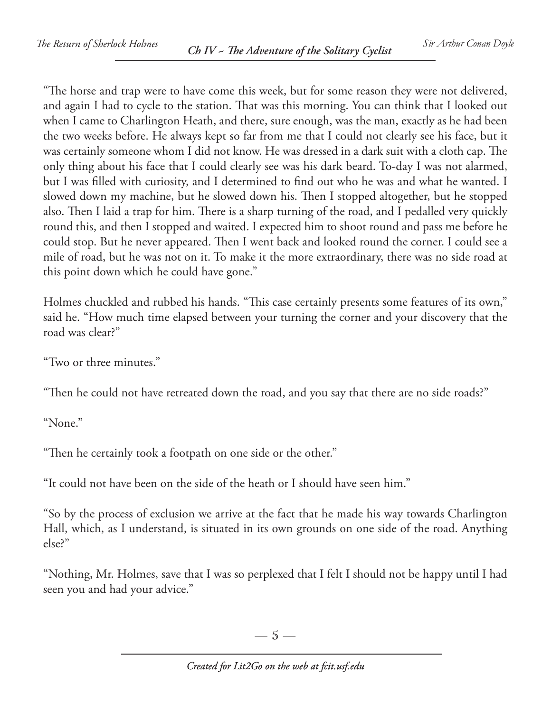"The horse and trap were to have come this week, but for some reason they were not delivered, and again I had to cycle to the station. That was this morning. You can think that I looked out when I came to Charlington Heath, and there, sure enough, was the man, exactly as he had been the two weeks before. He always kept so far from me that I could not clearly see his face, but it was certainly someone whom I did not know. He was dressed in a dark suit with a cloth cap. The only thing about his face that I could clearly see was his dark beard. To-day I was not alarmed, but I was filled with curiosity, and I determined to find out who he was and what he wanted. I slowed down my machine, but he slowed down his. Then I stopped altogether, but he stopped also. Then I laid a trap for him. There is a sharp turning of the road, and I pedalled very quickly round this, and then I stopped and waited. I expected him to shoot round and pass me before he could stop. But he never appeared. Then I went back and looked round the corner. I could see a mile of road, but he was not on it. To make it the more extraordinary, there was no side road at this point down which he could have gone."

Holmes chuckled and rubbed his hands. "This case certainly presents some features of its own," said he. "How much time elapsed between your turning the corner and your discovery that the road was clear?"

"Two or three minutes."

"Then he could not have retreated down the road, and you say that there are no side roads?"

"None."

"Then he certainly took a footpath on one side or the other."

"It could not have been on the side of the heath or I should have seen him."

"So by the process of exclusion we arrive at the fact that he made his way towards Charlington Hall, which, as I understand, is situated in its own grounds on one side of the road. Anything else?"

"Nothing, Mr. Holmes, save that I was so perplexed that I felt I should not be happy until I had seen you and had your advice."

—  $5-$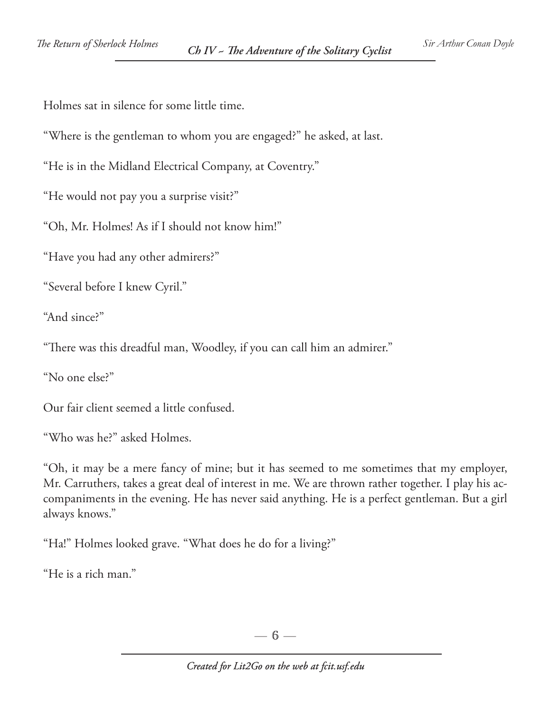Holmes sat in silence for some little time.

"Where is the gentleman to whom you are engaged?" he asked, at last.

"He is in the Midland Electrical Company, at Coventry."

"He would not pay you a surprise visit?"

"Oh, Mr. Holmes! As if I should not know him!"

"Have you had any other admirers?"

"Several before I knew Cyril."

"And since?"

"There was this dreadful man, Woodley, if you can call him an admirer."

"No one else?"

Our fair client seemed a little confused.

"Who was he?" asked Holmes.

"Oh, it may be a mere fancy of mine; but it has seemed to me sometimes that my employer, Mr. Carruthers, takes a great deal of interest in me. We are thrown rather together. I play his accompaniments in the evening. He has never said anything. He is a perfect gentleman. But a girl always knows."

"Ha!" Holmes looked grave. "What does he do for a living?"

"He is a rich man."

 $-6-$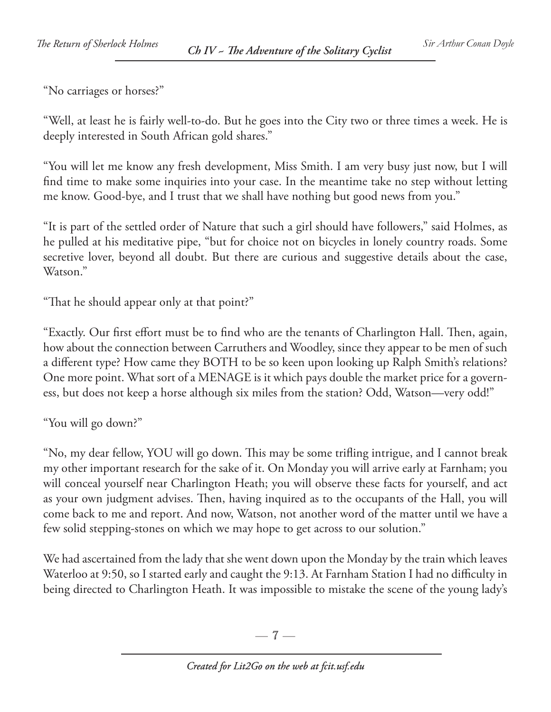"No carriages or horses?"

"Well, at least he is fairly well-to-do. But he goes into the City two or three times a week. He is deeply interested in South African gold shares."

"You will let me know any fresh development, Miss Smith. I am very busy just now, but I will find time to make some inquiries into your case. In the meantime take no step without letting me know. Good-bye, and I trust that we shall have nothing but good news from you."

"It is part of the settled order of Nature that such a girl should have followers," said Holmes, as he pulled at his meditative pipe, "but for choice not on bicycles in lonely country roads. Some secretive lover, beyond all doubt. But there are curious and suggestive details about the case, Watson."

"That he should appear only at that point?"

"Exactly. Our first effort must be to find who are the tenants of Charlington Hall. Then, again, how about the connection between Carruthers and Woodley, since they appear to be men of such a different type? How came they BOTH to be so keen upon looking up Ralph Smith's relations? One more point. What sort of a MENAGE is it which pays double the market price for a governess, but does not keep a horse although six miles from the station? Odd, Watson—very odd!"

"You will go down?"

"No, my dear fellow, YOU will go down. This may be some trifling intrigue, and I cannot break my other important research for the sake of it. On Monday you will arrive early at Farnham; you will conceal yourself near Charlington Heath; you will observe these facts for yourself, and act as your own judgment advises. Then, having inquired as to the occupants of the Hall, you will come back to me and report. And now, Watson, not another word of the matter until we have a few solid stepping-stones on which we may hope to get across to our solution."

We had ascertained from the lady that she went down upon the Monday by the train which leaves Waterloo at 9:50, so I started early and caught the 9:13. At Farnham Station I had no difficulty in being directed to Charlington Heath. It was impossible to mistake the scene of the young lady's

 $-7-$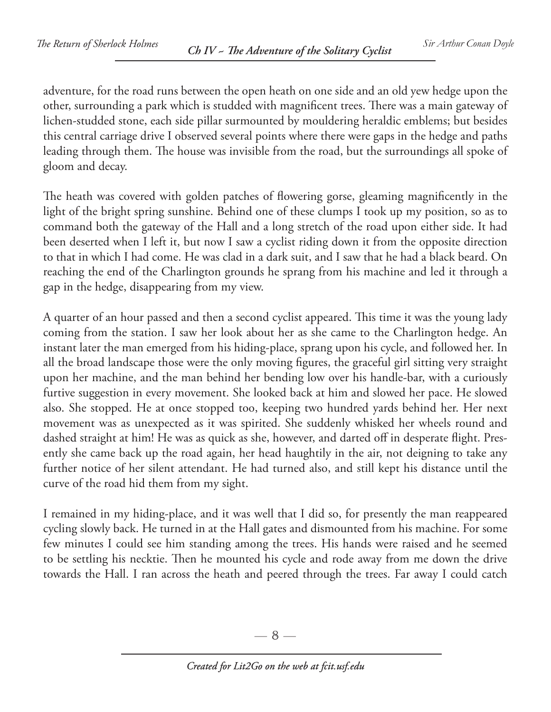adventure, for the road runs between the open heath on one side and an old yew hedge upon the other, surrounding a park which is studded with magnificent trees. There was a main gateway of lichen-studded stone, each side pillar surmounted by mouldering heraldic emblems; but besides this central carriage drive I observed several points where there were gaps in the hedge and paths leading through them. The house was invisible from the road, but the surroundings all spoke of gloom and decay.

The heath was covered with golden patches of flowering gorse, gleaming magnificently in the light of the bright spring sunshine. Behind one of these clumps I took up my position, so as to command both the gateway of the Hall and a long stretch of the road upon either side. It had been deserted when I left it, but now I saw a cyclist riding down it from the opposite direction to that in which I had come. He was clad in a dark suit, and I saw that he had a black beard. On reaching the end of the Charlington grounds he sprang from his machine and led it through a gap in the hedge, disappearing from my view.

A quarter of an hour passed and then a second cyclist appeared. This time it was the young lady coming from the station. I saw her look about her as she came to the Charlington hedge. An instant later the man emerged from his hiding-place, sprang upon his cycle, and followed her. In all the broad landscape those were the only moving figures, the graceful girl sitting very straight upon her machine, and the man behind her bending low over his handle-bar, with a curiously furtive suggestion in every movement. She looked back at him and slowed her pace. He slowed also. She stopped. He at once stopped too, keeping two hundred yards behind her. Her next movement was as unexpected as it was spirited. She suddenly whisked her wheels round and dashed straight at him! He was as quick as she, however, and darted off in desperate flight. Presently she came back up the road again, her head haughtily in the air, not deigning to take any further notice of her silent attendant. He had turned also, and still kept his distance until the curve of the road hid them from my sight.

I remained in my hiding-place, and it was well that I did so, for presently the man reappeared cycling slowly back. He turned in at the Hall gates and dismounted from his machine. For some few minutes I could see him standing among the trees. His hands were raised and he seemed to be settling his necktie. Then he mounted his cycle and rode away from me down the drive towards the Hall. I ran across the heath and peered through the trees. Far away I could catch

 $-8-$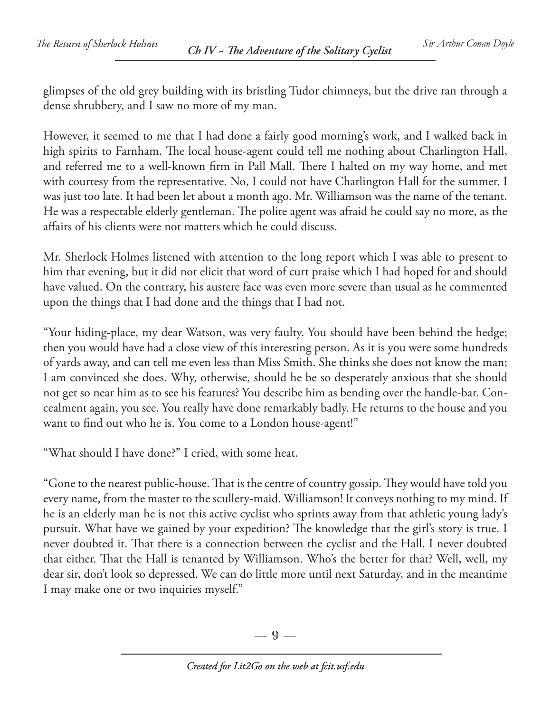glimpses of the old grey building with its bristling Tudor chimneys, but the drive ran through a dense shrubbery, and I saw no more of my man.

However, it seemed to me that I had done a fairly good morning's work, and I walked back in high spirits to Farnham. The local house-agent could tell me nothing about Charlington Hall, and referred me to a well-known firm in Pall Mall. There I halted on my way home, and met with courtesy from the representative. No, I could not have Charlington Hall for the summer. I was just too late. It had been let about a month ago. Mr. Williamson was the name of the tenant. He was a respectable elderly gentleman. The polite agent was afraid he could say no more, as the affairs of his clients were not matters which he could discuss.

Mr. Sherlock Holmes listened with attention to the long report which I was able to present to him that evening, but it did not elicit that word of curt praise which I had hoped for and should have valued. On the contrary, his austere face was even more severe than usual as he commented upon the things that I had done and the things that I had not.

"Your hiding-place, my dear Watson, was very faulty. You should have been behind the hedge; then you would have had a close view of this interesting person. As it is you were some hundreds of yards away, and can tell me even less than Miss Smith. She thinks she does not know the man; I am convinced she does. Why, otherwise, should he be so desperately anxious that she should not get so near him as to see his features? You describe him as bending over the handle-bar. Concealment again, you see. You really have done remarkably badly. He returns to the house and you want to find out who he is. You come to a London house-agent!"

"What should I have done?" I cried, with some heat.

"Gone to the nearest public-house. That is the centre of country gossip. They would have told you every name, from the master to the scullery-maid. Williamson! It conveys nothing to my mind. If he is an elderly man he is not this active cyclist who sprints away from that athletic young lady's pursuit. What have we gained by your expedition? The knowledge that the girl's story is true. I never doubted it. That there is a connection between the cyclist and the Hall. I never doubted that either. That the Hall is tenanted by Williamson. Who's the better for that? Well, well, my dear sir, don't look so depressed. We can do little more until next Saturday, and in the meantime I may make one or two inquiries myself."

 $-9-$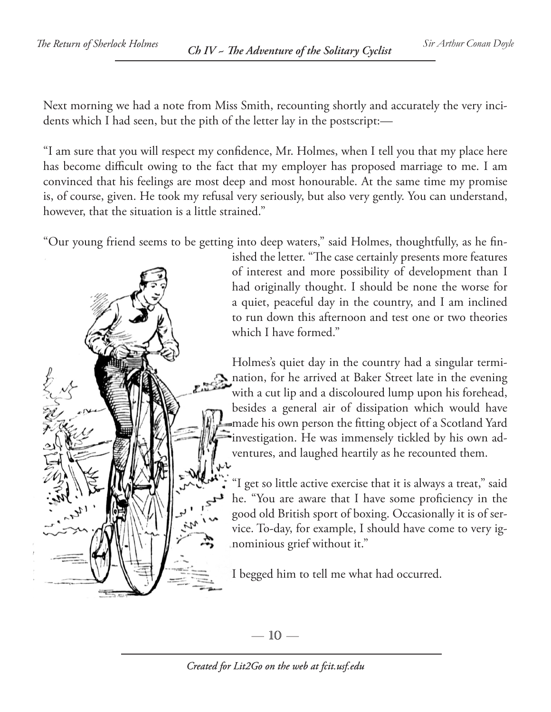Next morning we had a note from Miss Smith, recounting shortly and accurately the very incidents which I had seen, but the pith of the letter lay in the postscript:—

"I am sure that you will respect my confidence, Mr. Holmes, when I tell you that my place here has become difficult owing to the fact that my employer has proposed marriage to me. I am convinced that his feelings are most deep and most honourable. At the same time my promise is, of course, given. He took my refusal very seriously, but also very gently. You can understand, however, that the situation is a little strained."

"Our young friend seems to be getting into deep waters," said Holmes, thoughtfully, as he fin-

ished the letter. "The case certainly presents more features of interest and more possibility of development than I had originally thought. I should be none the worse for a quiet, peaceful day in the country, and I am inclined to run down this afternoon and test one or two theories which I have formed."

Holmes's quiet day in the country had a singular termination, for he arrived at Baker Street late in the evening with a cut lip and a discoloured lump upon his forehead, besides a general air of dissipation which would have made his own person the fitting object of a Scotland Yard investigation. He was immensely tickled by his own adventures, and laughed heartily as he recounted them.

"I get so little active exercise that it is always a treat," said he. "You are aware that I have some proficiency in the good old British sport of boxing. Occasionally it is of service. To-day, for example, I should have come to very ignominious grief without it."

I begged him to tell me what had occurred.

— 10 —

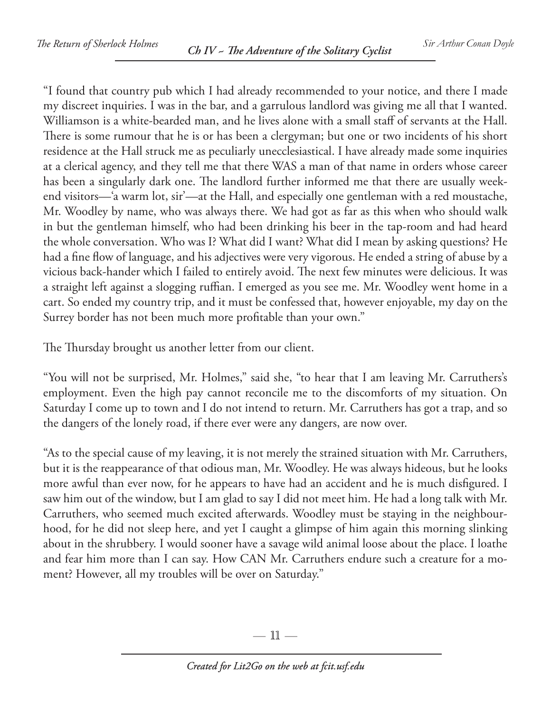"I found that country pub which I had already recommended to your notice, and there I made my discreet inquiries. I was in the bar, and a garrulous landlord was giving me all that I wanted. Williamson is a white-bearded man, and he lives alone with a small staff of servants at the Hall. There is some rumour that he is or has been a clergyman; but one or two incidents of his short residence at the Hall struck me as peculiarly unecclesiastical. I have already made some inquiries at a clerical agency, and they tell me that there WAS a man of that name in orders whose career has been a singularly dark one. The landlord further informed me that there are usually weekend visitors—'a warm lot, sir'—at the Hall, and especially one gentleman with a red moustache, Mr. Woodley by name, who was always there. We had got as far as this when who should walk in but the gentleman himself, who had been drinking his beer in the tap-room and had heard the whole conversation. Who was I? What did I want? What did I mean by asking questions? He had a fine flow of language, and his adjectives were very vigorous. He ended a string of abuse by a vicious back-hander which I failed to entirely avoid. The next few minutes were delicious. It was a straight left against a slogging ruffian. I emerged as you see me. Mr. Woodley went home in a cart. So ended my country trip, and it must be confessed that, however enjoyable, my day on the Surrey border has not been much more profitable than your own."

The Thursday brought us another letter from our client.

"You will not be surprised, Mr. Holmes," said she, "to hear that I am leaving Mr. Carruthers's employment. Even the high pay cannot reconcile me to the discomforts of my situation. On Saturday I come up to town and I do not intend to return. Mr. Carruthers has got a trap, and so the dangers of the lonely road, if there ever were any dangers, are now over.

"As to the special cause of my leaving, it is not merely the strained situation with Mr. Carruthers, but it is the reappearance of that odious man, Mr. Woodley. He was always hideous, but he looks more awful than ever now, for he appears to have had an accident and he is much disfigured. I saw him out of the window, but I am glad to say I did not meet him. He had a long talk with Mr. Carruthers, who seemed much excited afterwards. Woodley must be staying in the neighbourhood, for he did not sleep here, and yet I caught a glimpse of him again this morning slinking about in the shrubbery. I would sooner have a savage wild animal loose about the place. I loathe and fear him more than I can say. How CAN Mr. Carruthers endure such a creature for a moment? However, all my troubles will be over on Saturday."

— 11 —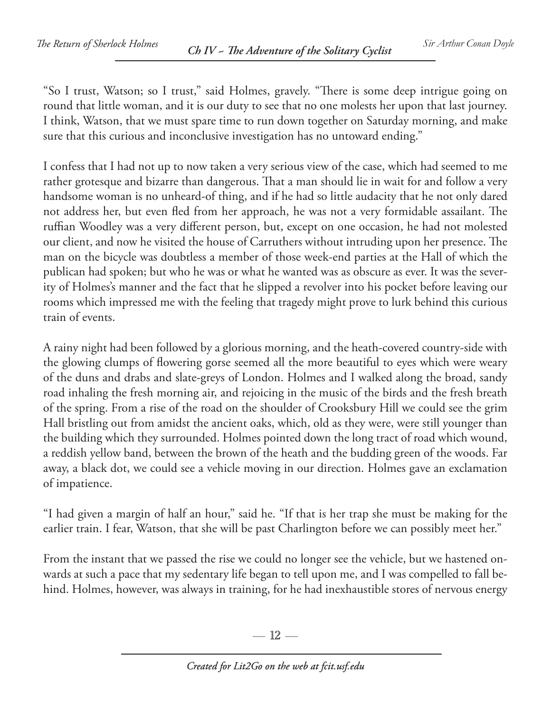"So I trust, Watson; so I trust," said Holmes, gravely. "There is some deep intrigue going on round that little woman, and it is our duty to see that no one molests her upon that last journey. I think, Watson, that we must spare time to run down together on Saturday morning, and make sure that this curious and inconclusive investigation has no untoward ending."

I confess that I had not up to now taken a very serious view of the case, which had seemed to me rather grotesque and bizarre than dangerous. That a man should lie in wait for and follow a very handsome woman is no unheard-of thing, and if he had so little audacity that he not only dared not address her, but even fled from her approach, he was not a very formidable assailant. The ruffian Woodley was a very different person, but, except on one occasion, he had not molested our client, and now he visited the house of Carruthers without intruding upon her presence. The man on the bicycle was doubtless a member of those week-end parties at the Hall of which the publican had spoken; but who he was or what he wanted was as obscure as ever. It was the severity of Holmes's manner and the fact that he slipped a revolver into his pocket before leaving our rooms which impressed me with the feeling that tragedy might prove to lurk behind this curious train of events.

A rainy night had been followed by a glorious morning, and the heath-covered country-side with the glowing clumps of flowering gorse seemed all the more beautiful to eyes which were weary of the duns and drabs and slate-greys of London. Holmes and I walked along the broad, sandy road inhaling the fresh morning air, and rejoicing in the music of the birds and the fresh breath of the spring. From a rise of the road on the shoulder of Crooksbury Hill we could see the grim Hall bristling out from amidst the ancient oaks, which, old as they were, were still younger than the building which they surrounded. Holmes pointed down the long tract of road which wound, a reddish yellow band, between the brown of the heath and the budding green of the woods. Far away, a black dot, we could see a vehicle moving in our direction. Holmes gave an exclamation of impatience.

"I had given a margin of half an hour," said he. "If that is her trap she must be making for the earlier train. I fear, Watson, that she will be past Charlington before we can possibly meet her."

From the instant that we passed the rise we could no longer see the vehicle, but we hastened onwards at such a pace that my sedentary life began to tell upon me, and I was compelled to fall behind. Holmes, however, was always in training, for he had inexhaustible stores of nervous energy

 $-12-$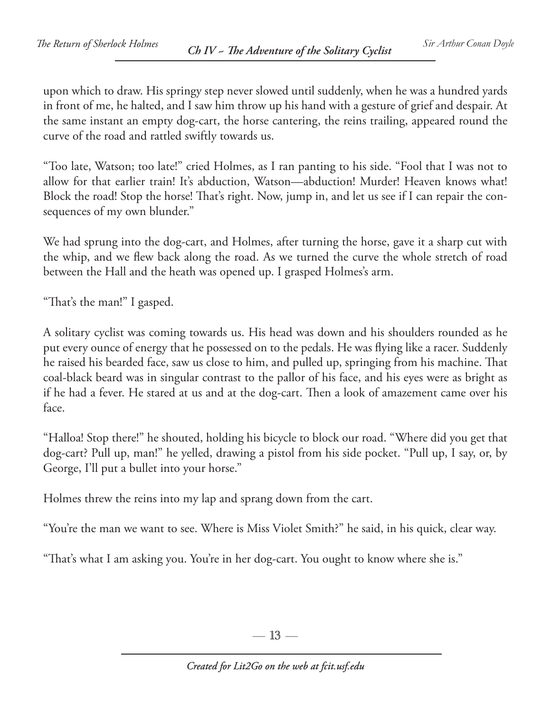upon which to draw. His springy step never slowed until suddenly, when he was a hundred yards in front of me, he halted, and I saw him throw up his hand with a gesture of grief and despair. At the same instant an empty dog-cart, the horse cantering, the reins trailing, appeared round the curve of the road and rattled swiftly towards us.

"Too late, Watson; too late!" cried Holmes, as I ran panting to his side. "Fool that I was not to allow for that earlier train! It's abduction, Watson—abduction! Murder! Heaven knows what! Block the road! Stop the horse! That's right. Now, jump in, and let us see if I can repair the consequences of my own blunder."

We had sprung into the dog-cart, and Holmes, after turning the horse, gave it a sharp cut with the whip, and we flew back along the road. As we turned the curve the whole stretch of road between the Hall and the heath was opened up. I grasped Holmes's arm.

"That's the man!" I gasped.

A solitary cyclist was coming towards us. His head was down and his shoulders rounded as he put every ounce of energy that he possessed on to the pedals. He was flying like a racer. Suddenly he raised his bearded face, saw us close to him, and pulled up, springing from his machine. That coal-black beard was in singular contrast to the pallor of his face, and his eyes were as bright as if he had a fever. He stared at us and at the dog-cart. Then a look of amazement came over his face.

"Halloa! Stop there!" he shouted, holding his bicycle to block our road. "Where did you get that dog-cart? Pull up, man!" he yelled, drawing a pistol from his side pocket. "Pull up, I say, or, by George, I'll put a bullet into your horse."

Holmes threw the reins into my lap and sprang down from the cart.

"You're the man we want to see. Where is Miss Violet Smith?" he said, in his quick, clear way.

"That's what I am asking you. You're in her dog-cart. You ought to know where she is."

 $-13-$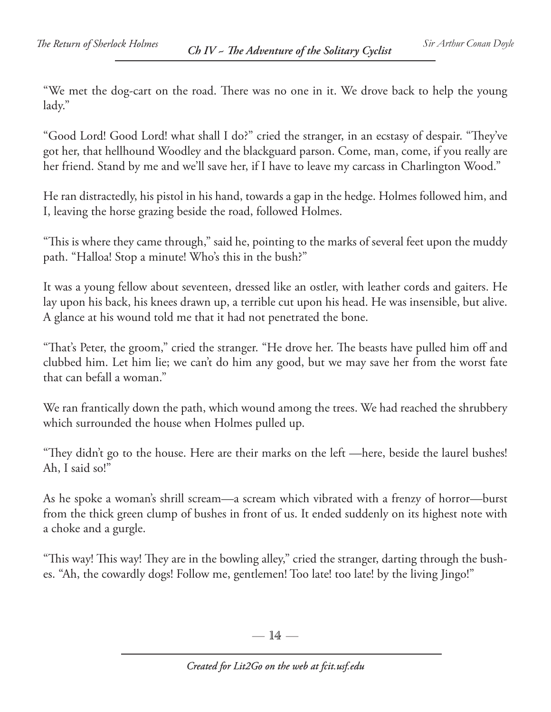"We met the dog-cart on the road. There was no one in it. We drove back to help the young lady."

"Good Lord! Good Lord! what shall I do?" cried the stranger, in an ecstasy of despair. "They've got her, that hellhound Woodley and the blackguard parson. Come, man, come, if you really are her friend. Stand by me and we'll save her, if I have to leave my carcass in Charlington Wood."

He ran distractedly, his pistol in his hand, towards a gap in the hedge. Holmes followed him, and I, leaving the horse grazing beside the road, followed Holmes.

"This is where they came through," said he, pointing to the marks of several feet upon the muddy path. "Halloa! Stop a minute! Who's this in the bush?"

It was a young fellow about seventeen, dressed like an ostler, with leather cords and gaiters. He lay upon his back, his knees drawn up, a terrible cut upon his head. He was insensible, but alive. A glance at his wound told me that it had not penetrated the bone.

"That's Peter, the groom," cried the stranger. "He drove her. The beasts have pulled him off and clubbed him. Let him lie; we can't do him any good, but we may save her from the worst fate that can befall a woman."

We ran frantically down the path, which wound among the trees. We had reached the shrubbery which surrounded the house when Holmes pulled up.

"They didn't go to the house. Here are their marks on the left —here, beside the laurel bushes! Ah, I said so!"

As he spoke a woman's shrill scream—a scream which vibrated with a frenzy of horror—burst from the thick green clump of bushes in front of us. It ended suddenly on its highest note with a choke and a gurgle.

"This way! This way! They are in the bowling alley," cried the stranger, darting through the bushes. "Ah, the cowardly dogs! Follow me, gentlemen! Too late! too late! by the living Jingo!"

 $-14-$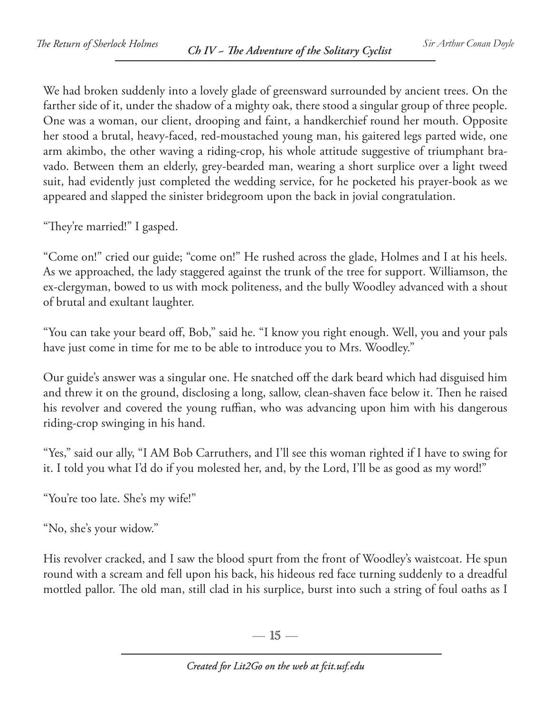We had broken suddenly into a lovely glade of greensward surrounded by ancient trees. On the farther side of it, under the shadow of a mighty oak, there stood a singular group of three people. One was a woman, our client, drooping and faint, a handkerchief round her mouth. Opposite her stood a brutal, heavy-faced, red-moustached young man, his gaitered legs parted wide, one arm akimbo, the other waving a riding-crop, his whole attitude suggestive of triumphant bravado. Between them an elderly, grey-bearded man, wearing a short surplice over a light tweed suit, had evidently just completed the wedding service, for he pocketed his prayer-book as we appeared and slapped the sinister bridegroom upon the back in jovial congratulation.

"They're married!" I gasped.

"Come on!" cried our guide; "come on!" He rushed across the glade, Holmes and I at his heels. As we approached, the lady staggered against the trunk of the tree for support. Williamson, the ex-clergyman, bowed to us with mock politeness, and the bully Woodley advanced with a shout of brutal and exultant laughter.

"You can take your beard off, Bob," said he. "I know you right enough. Well, you and your pals have just come in time for me to be able to introduce you to Mrs. Woodley."

Our guide's answer was a singular one. He snatched off the dark beard which had disguised him and threw it on the ground, disclosing a long, sallow, clean-shaven face below it. Then he raised his revolver and covered the young ruffian, who was advancing upon him with his dangerous riding-crop swinging in his hand.

"Yes," said our ally, "I AM Bob Carruthers, and I'll see this woman righted if I have to swing for it. I told you what I'd do if you molested her, and, by the Lord, I'll be as good as my word!"

"You're too late. She's my wife!"

"No, she's your widow."

His revolver cracked, and I saw the blood spurt from the front of Woodley's waistcoat. He spun round with a scream and fell upon his back, his hideous red face turning suddenly to a dreadful mottled pallor. The old man, still clad in his surplice, burst into such a string of foul oaths as I

 $-15-$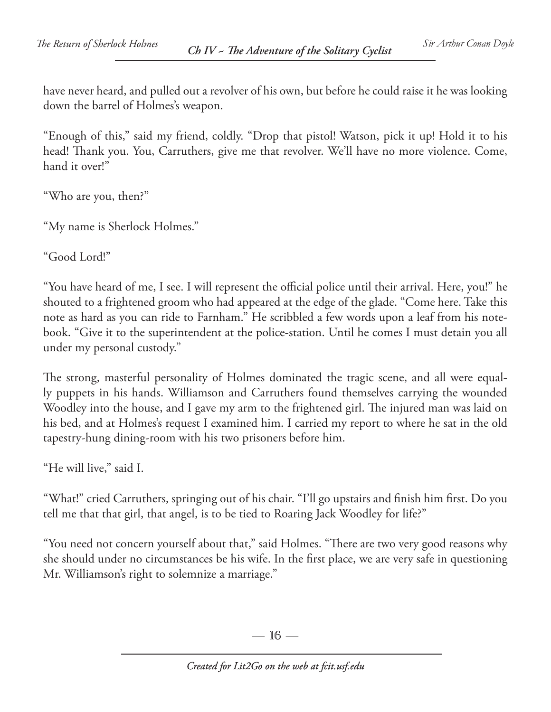have never heard, and pulled out a revolver of his own, but before he could raise it he was looking down the barrel of Holmes's weapon.

"Enough of this," said my friend, coldly. "Drop that pistol! Watson, pick it up! Hold it to his head! Thank you. You, Carruthers, give me that revolver. We'll have no more violence. Come, hand it over!"

"Who are you, then?"

"My name is Sherlock Holmes."

"Good Lord!"

"You have heard of me, I see. I will represent the official police until their arrival. Here, you!" he shouted to a frightened groom who had appeared at the edge of the glade. "Come here. Take this note as hard as you can ride to Farnham." He scribbled a few words upon a leaf from his notebook. "Give it to the superintendent at the police-station. Until he comes I must detain you all under my personal custody."

The strong, masterful personality of Holmes dominated the tragic scene, and all were equally puppets in his hands. Williamson and Carruthers found themselves carrying the wounded Woodley into the house, and I gave my arm to the frightened girl. The injured man was laid on his bed, and at Holmes's request I examined him. I carried my report to where he sat in the old tapestry-hung dining-room with his two prisoners before him.

"He will live," said I.

"What!" cried Carruthers, springing out of his chair. "I'll go upstairs and finish him first. Do you tell me that that girl, that angel, is to be tied to Roaring Jack Woodley for life?"

"You need not concern yourself about that," said Holmes. "There are two very good reasons why she should under no circumstances be his wife. In the first place, we are very safe in questioning Mr. Williamson's right to solemnize a marriage."

 $-16-$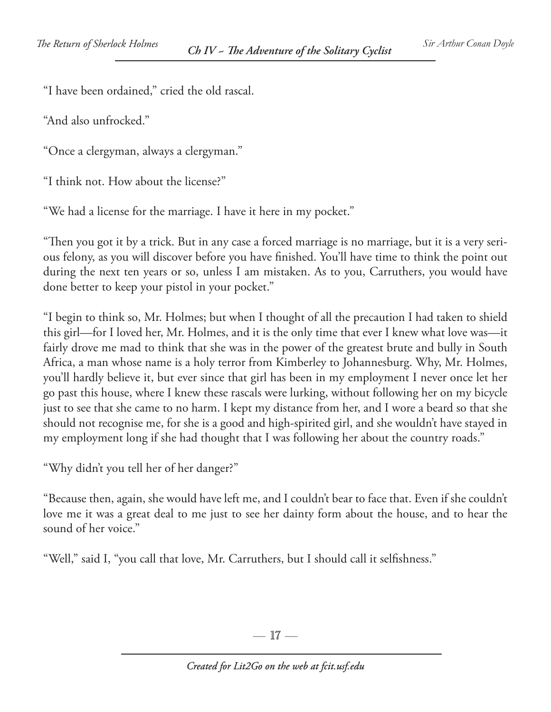"I have been ordained," cried the old rascal.

"And also unfrocked."

"Once a clergyman, always a clergyman."

"I think not. How about the license?"

"We had a license for the marriage. I have it here in my pocket."

"Then you got it by a trick. But in any case a forced marriage is no marriage, but it is a very serious felony, as you will discover before you have finished. You'll have time to think the point out during the next ten years or so, unless I am mistaken. As to you, Carruthers, you would have done better to keep your pistol in your pocket."

"I begin to think so, Mr. Holmes; but when I thought of all the precaution I had taken to shield this girl—for I loved her, Mr. Holmes, and it is the only time that ever I knew what love was—it fairly drove me mad to think that she was in the power of the greatest brute and bully in South Africa, a man whose name is a holy terror from Kimberley to Johannesburg. Why, Mr. Holmes, you'll hardly believe it, but ever since that girl has been in my employment I never once let her go past this house, where I knew these rascals were lurking, without following her on my bicycle just to see that she came to no harm. I kept my distance from her, and I wore a beard so that she should not recognise me, for she is a good and high-spirited girl, and she wouldn't have stayed in my employment long if she had thought that I was following her about the country roads."

"Why didn't you tell her of her danger?"

"Because then, again, she would have left me, and I couldn't bear to face that. Even if she couldn't love me it was a great deal to me just to see her dainty form about the house, and to hear the sound of her voice."

"Well," said I, "you call that love, Mr. Carruthers, but I should call it selfishness."

—  $17-$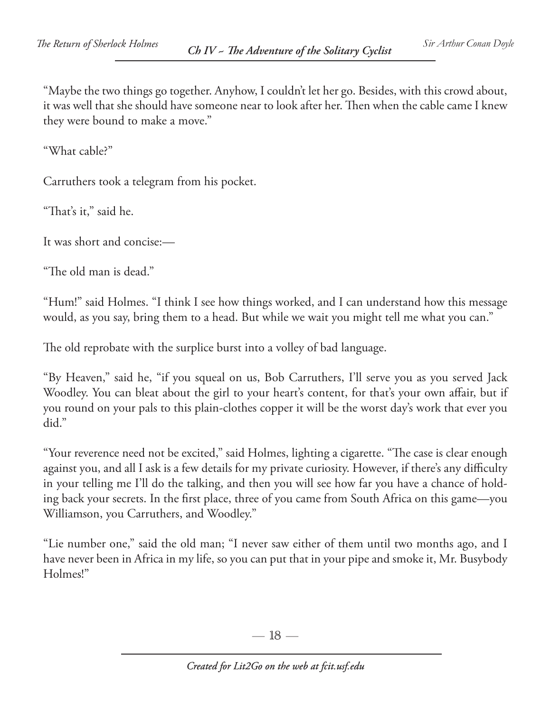"Maybe the two things go together. Anyhow, I couldn't let her go. Besides, with this crowd about, it was well that she should have someone near to look after her. Then when the cable came I knew they were bound to make a move."

"What cable?"

Carruthers took a telegram from his pocket.

"That's it," said he.

It was short and concise:—

"The old man is dead."

"Hum!" said Holmes. "I think I see how things worked, and I can understand how this message would, as you say, bring them to a head. But while we wait you might tell me what you can."

The old reprobate with the surplice burst into a volley of bad language.

"By Heaven," said he, "if you squeal on us, Bob Carruthers, I'll serve you as you served Jack Woodley. You can bleat about the girl to your heart's content, for that's your own affair, but if you round on your pals to this plain-clothes copper it will be the worst day's work that ever you did."

"Your reverence need not be excited," said Holmes, lighting a cigarette. "The case is clear enough against you, and all I ask is a few details for my private curiosity. However, if there's any difficulty in your telling me I'll do the talking, and then you will see how far you have a chance of holding back your secrets. In the first place, three of you came from South Africa on this game—you Williamson, you Carruthers, and Woodley."

"Lie number one," said the old man; "I never saw either of them until two months ago, and I have never been in Africa in my life, so you can put that in your pipe and smoke it, Mr. Busybody Holmes!"

 $-18-$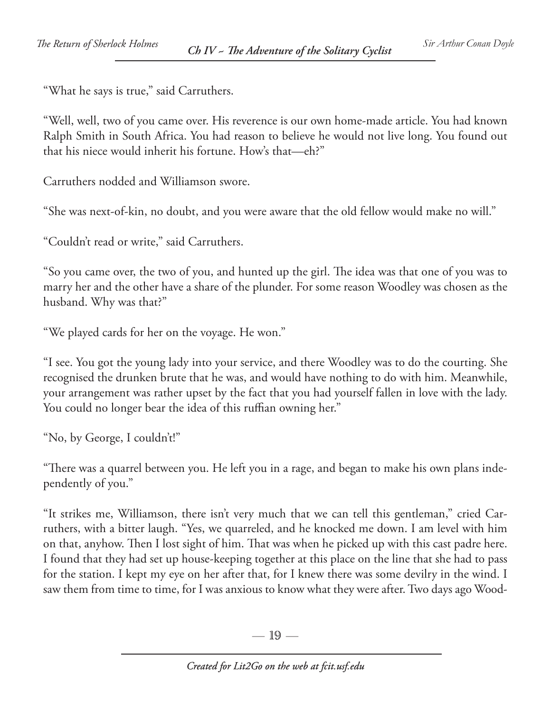"What he says is true," said Carruthers.

"Well, well, two of you came over. His reverence is our own home-made article. You had known Ralph Smith in South Africa. You had reason to believe he would not live long. You found out that his niece would inherit his fortune. How's that—eh?"

Carruthers nodded and Williamson swore.

"She was next-of-kin, no doubt, and you were aware that the old fellow would make no will."

"Couldn't read or write," said Carruthers.

"So you came over, the two of you, and hunted up the girl. The idea was that one of you was to marry her and the other have a share of the plunder. For some reason Woodley was chosen as the husband. Why was that?"

"We played cards for her on the voyage. He won."

"I see. You got the young lady into your service, and there Woodley was to do the courting. She recognised the drunken brute that he was, and would have nothing to do with him. Meanwhile, your arrangement was rather upset by the fact that you had yourself fallen in love with the lady. You could no longer bear the idea of this ruffian owning her."

"No, by George, I couldn't!"

"There was a quarrel between you. He left you in a rage, and began to make his own plans independently of you."

"It strikes me, Williamson, there isn't very much that we can tell this gentleman," cried Carruthers, with a bitter laugh. "Yes, we quarreled, and he knocked me down. I am level with him on that, anyhow. Then I lost sight of him. That was when he picked up with this cast padre here. I found that they had set up house-keeping together at this place on the line that she had to pass for the station. I kept my eye on her after that, for I knew there was some devilry in the wind. I saw them from time to time, for I was anxious to know what they were after. Two days ago Wood-

— 19 —